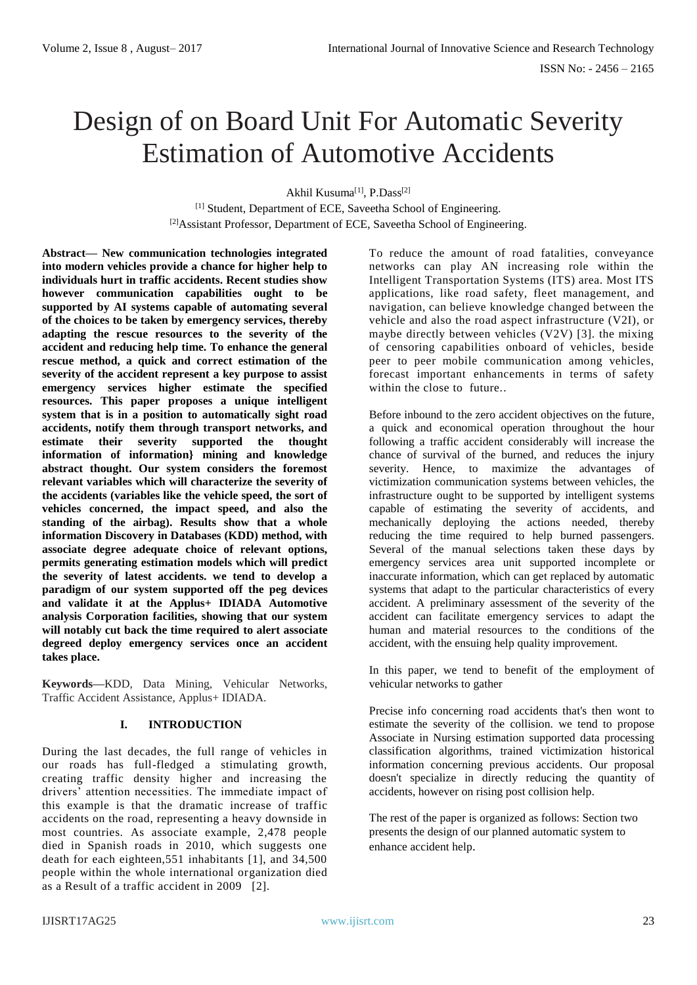# Design of on Board Unit For Automatic Severity Estimation of Automotive Accidents

Akhil Kusuma<sup>[1]</sup>, P.Dass<sup>[2]</sup>

[1] Student, Department of ECE, Saveetha School of Engineering. [2] Assistant Professor, Department of ECE, Saveetha School of Engineering.

**Abstract— New communication technologies integrated into modern vehicles provide a chance for higher help to individuals hurt in traffic accidents. Recent studies show however communication capabilities ought to be supported by AI systems capable of automating several of the choices to be taken by emergency services, thereby adapting the rescue resources to the severity of the accident and reducing help time. To enhance the general rescue method, a quick and correct estimation of the severity of the accident represent a key purpose to assist emergency services higher estimate the specified resources. This paper proposes a unique intelligent system that is in a position to automatically sight road accidents, notify them through transport networks, and estimate their severity supported the thought information of information} mining and knowledge abstract thought. Our system considers the foremost relevant variables which will characterize the severity of the accidents (variables like the vehicle speed, the sort of vehicles concerned, the impact speed, and also the standing of the airbag). Results show that a whole information Discovery in Databases (KDD) method, with associate degree adequate choice of relevant options, permits generating estimation models which will predict the severity of latest accidents. we tend to develop a paradigm of our system supported off the peg devices and validate it at the Applus+ IDIADA Automotive analysis Corporation facilities, showing that our system will notably cut back the time required to alert associate degreed deploy emergency services once an accident takes place.**

**Keywords—**KDD, Data Mining, Vehicular Networks, Traffic Accident Assistance, Applus+ IDIADA.

## **I. INTRODUCTION**

During the last decades, the full range of vehicles in our roads has full-fledged a stimulating growth, creating traffic density higher and increasing the drivers' attention necessities. The immediate impact of this example is that the dramatic increase of traffic accidents on the road, representing a heavy downside in most countries. As associate example, 2,478 people died in Spanish roads in 2010, which suggests one death for each eighteen,551 inhabitants [1], and 34,500 people within the whole international organization died as a Result of a traffic accident in 2009 [2].

To reduce the amount of road fatalities, conveyance networks can play AN increasing role within the Intelligent Transportation Systems (ITS) area. Most ITS applications, like road safety, fleet management, and navigation, can believe knowledge changed between the vehicle and also the road aspect infrastructure (V2I), or maybe directly between vehicles (V2V) [3]. the mixing of censoring capabilities onboard of vehicles, beside peer to peer mobile communication among vehicles, forecast important enhancements in terms of safety within the close to future...

Before inbound to the zero accident objectives on the future, a quick and economical operation throughout the hour following a traffic accident considerably will increase the chance of survival of the burned, and reduces the injury severity. Hence, to maximize the advantages of victimization communication systems between vehicles, the infrastructure ought to be supported by intelligent systems capable of estimating the severity of accidents, and mechanically deploying the actions needed, thereby reducing the time required to help burned passengers. Several of the manual selections taken these days by emergency services area unit supported incomplete or inaccurate information, which can get replaced by automatic systems that adapt to the particular characteristics of every accident. A preliminary assessment of the severity of the accident can facilitate emergency services to adapt the human and material resources to the conditions of the accident, with the ensuing help quality improvement.

In this paper, we tend to benefit of the employment of vehicular networks to gather

Precise info concerning road accidents that's then wont to estimate the severity of the collision. we tend to propose Associate in Nursing estimation supported data processing classification algorithms, trained victimization historical information concerning previous accidents. Our proposal doesn't specialize in directly reducing the quantity of accidents, however on rising post collision help.

The rest of the paper is organized as follows: Section two presents the design of our planned automatic system to enhance accident help.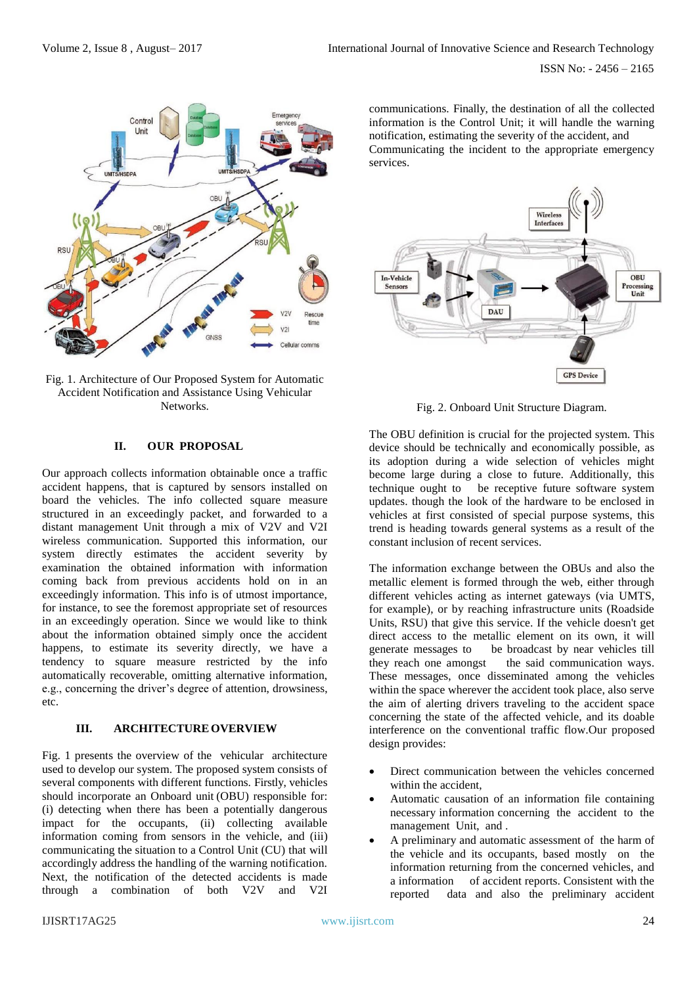

Fig. 1. Architecture of Our Proposed System for Automatic Accident Notification and Assistance Using Vehicular **Networks** 

# **II. OUR PROPOSAL**

Our approach collects information obtainable once a traffic accident happens, that is captured by sensors installed on board the vehicles. The info collected square measure structured in an exceedingly packet, and forwarded to a distant management Unit through a mix of V2V and V2I wireless communication. Supported this information, our system directly estimates the accident severity by examination the obtained information with information coming back from previous accidents hold on in an exceedingly information. This info is of utmost importance, for instance, to see the foremost appropriate set of resources in an exceedingly operation. Since we would like to think about the information obtained simply once the accident happens, to estimate its severity directly, we have a tendency to square measure restricted by the info automatically recoverable, omitting alternative information, e.g., concerning the driver's degree of attention, drowsiness, etc.

#### **III. ARCHITECTUREOVERVIEW**

Fig. 1 presents the overview of the vehicular architecture used to develop our system. The proposed system consists of several components with different functions. Firstly, vehicles should incorporate an Onboard unit (OBU) responsible for: (i) detecting when there has been a potentially dangerous impact for the occupants, (ii) collecting available information coming from sensors in the vehicle, and (iii) communicating the situation to a Control Unit (CU) that will accordingly address the handling of the warning notification. Next, the notification of the detected accidents is made through a combination of both V2V and V2I

communications. Finally, the destination of all the collected information is the Control Unit; it will handle the warning notification, estimating the severity of the accident, and Communicating the incident to the appropriate emergency services.



Fig. 2. Onboard Unit Structure Diagram.

The OBU definition is crucial for the projected system. This device should be technically and economically possible, as its adoption during a wide selection of vehicles might become large during a close to future. Additionally, this technique ought to be receptive future software system updates. though the look of the hardware to be enclosed in vehicles at first consisted of special purpose systems, this trend is heading towards general systems as a result of the constant inclusion of recent services.

The information exchange between the OBUs and also the metallic element is formed through the web, either through different vehicles acting as internet gateways (via UMTS, for example), or by reaching infrastructure units (Roadside Units, RSU) that give this service. If the vehicle doesn't get direct access to the metallic element on its own, it will generate messages to be broadcast by near vehicles till they reach one amongst the said communication ways. These messages, once disseminated among the vehicles within the space wherever the accident took place, also serve the aim of alerting drivers traveling to the accident space concerning the state of the affected vehicle, and its doable interference on the conventional traffic flow.Our proposed design provides:

- Direct communication between the vehicles concerned within the accident,
- Automatic causation of an information file containing necessary information concerning the accident to the management Unit, and .
- A preliminary and automatic assessment of the harm of the vehicle and its occupants, based mostly on the information returning from the concerned vehicles, and a information of accident reports. Consistent with the reported data and also the preliminary accident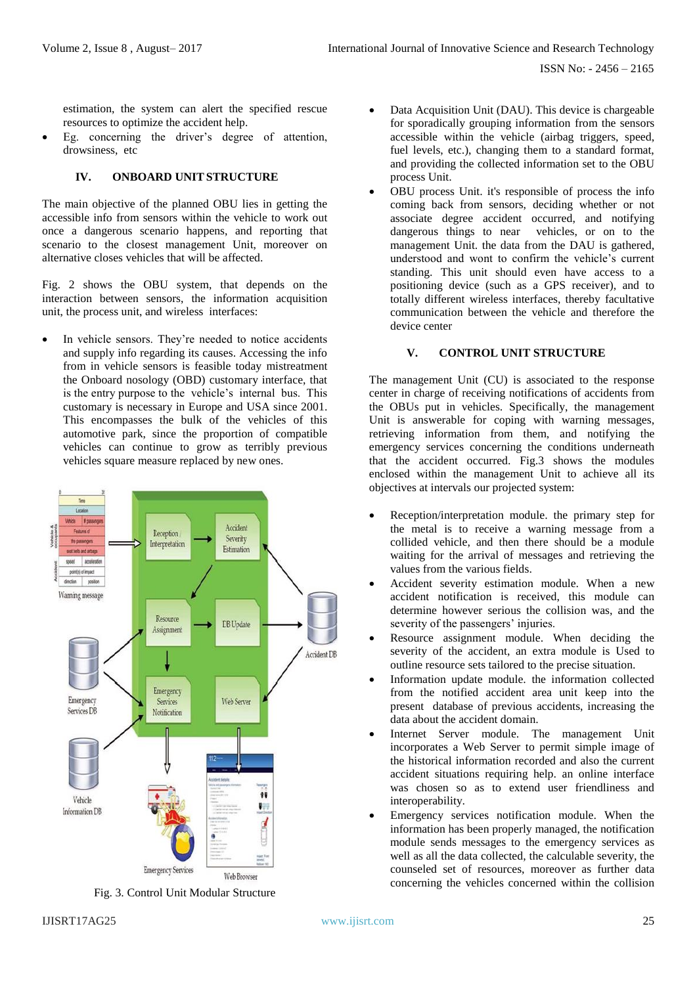ISSN No: - 2456 – 2165

estimation, the system can alert the specified rescue resources to optimize the accident help.

Eg. concerning the driver's degree of attention, drowsiness, etc

# **IV. ONBOARD UNITSTRUCTURE**

The main objective of the planned OBU lies in getting the accessible info from sensors within the vehicle to work out once a dangerous scenario happens, and reporting that scenario to the closest management Unit, moreover on alternative closes vehicles that will be affected.

Fig. 2 shows the OBU system, that depends on the interaction between sensors, the information acquisition unit, the process unit, and wireless interfaces:

In vehicle sensors. They're needed to notice accidents and supply info regarding its causes. Accessing the info from in vehicle sensors is feasible today mistreatment the Onboard nosology (OBD) customary interface, that is the entry purpose to the vehicle's internal bus. This customary is necessary in Europe and USA since 2001. This encompasses the bulk of the vehicles of this automotive park, since the proportion of compatible vehicles can continue to grow as terribly previous vehicles square measure replaced by new ones.



Fig. 3. Control Unit Modular Structure

- Data Acquisition Unit (DAU). This device is chargeable for sporadically grouping information from the sensors accessible within the vehicle (airbag triggers, speed, fuel levels, etc.), changing them to a standard format, and providing the collected information set to the OBU process Unit.
- OBU process Unit. it's responsible of process the info coming back from sensors, deciding whether or not associate degree accident occurred, and notifying dangerous things to near vehicles, or on to the management Unit. the data from the DAU is gathered, understood and wont to confirm the vehicle's current standing. This unit should even have access to a positioning device (such as a GPS receiver), and to totally different wireless interfaces, thereby facultative communication between the vehicle and therefore the device center

## **V. CONTROL UNIT STRUCTURE**

The management Unit (CU) is associated to the response center in charge of receiving notifications of accidents from the OBUs put in vehicles. Specifically, the management Unit is answerable for coping with warning messages, retrieving information from them, and notifying the emergency services concerning the conditions underneath that the accident occurred. Fig.3 shows the modules enclosed within the management Unit to achieve all its objectives at intervals our projected system:

- Reception/interpretation module. the primary step for the metal is to receive a warning message from a collided vehicle, and then there should be a module waiting for the arrival of messages and retrieving the values from the various fields.
- Accident severity estimation module. When a new accident notification is received, this module can determine however serious the collision was, and the severity of the passengers' injuries.
- Resource assignment module. When deciding the severity of the accident, an extra module is Used to outline resource sets tailored to the precise situation.
- Information update module. the information collected from the notified accident area unit keep into the present database of previous accidents, increasing the data about the accident domain.
- Internet Server module. The management Unit incorporates a Web Server to permit simple image of the historical information recorded and also the current accident situations requiring help. an online interface was chosen so as to extend user friendliness and interoperability.
- Emergency services notification module. When the information has been properly managed, the notification module sends messages to the emergency services as well as all the data collected, the calculable severity, the counseled set of resources, moreover as further data concerning the vehicles concerned within the collision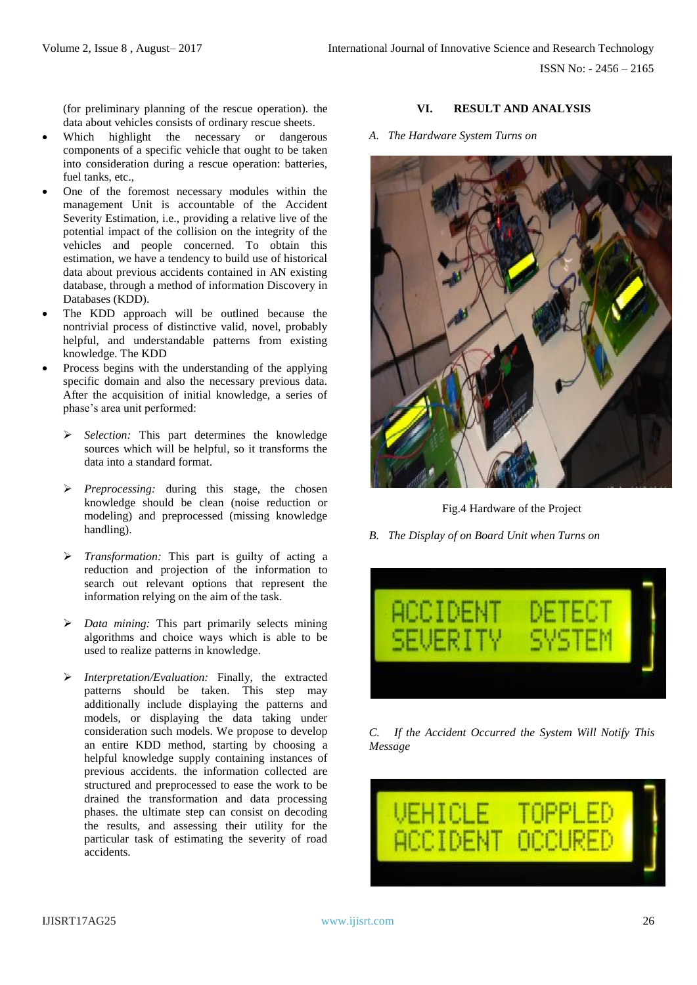(for preliminary planning of the rescue operation). the data about vehicles consists of ordinary rescue sheets.

- Which highlight the necessary or dangerous components of a specific vehicle that ought to be taken into consideration during a rescue operation: batteries, fuel tanks, etc.,
- One of the foremost necessary modules within the management Unit is accountable of the Accident Severity Estimation, i.e., providing a relative live of the potential impact of the collision on the integrity of the vehicles and people concerned. To obtain this estimation, we have a tendency to build use of historical data about previous accidents contained in AN existing database, through a method of information Discovery in Databases (KDD).
- The KDD approach will be outlined because the nontrivial process of distinctive valid, novel, probably helpful, and understandable patterns from existing knowledge. The KDD
- Process begins with the understanding of the applying specific domain and also the necessary previous data. After the acquisition of initial knowledge, a series of phase's area unit performed:
	- ➢ *Selection:* This part determines the knowledge sources which will be helpful, so it transforms the data into a standard format.
	- ➢ *Preprocessing:* during this stage, the chosen knowledge should be clean (noise reduction or modeling) and preprocessed (missing knowledge handling).
	- ➢ *Transformation:* This part is guilty of acting a reduction and projection of the information to search out relevant options that represent the information relying on the aim of the task.
	- ➢ *Data mining:* This part primarily selects mining algorithms and choice ways which is able to be used to realize patterns in knowledge.
	- ➢ *Interpretation/Evaluation:* Finally, the extracted patterns should be taken. This step may additionally include displaying the patterns and models, or displaying the data taking under consideration such models. We propose to develop an entire KDD method, starting by choosing a helpful knowledge supply containing instances of previous accidents. the information collected are structured and preprocessed to ease the work to be drained the transformation and data processing phases. the ultimate step can consist on decoding the results, and assessing their utility for the particular task of estimating the severity of road accidents.

# **VI. RESULT AND ANALYSIS**

*A. The Hardware System Turns on* 



Fig.4 Hardware of the Project

*B. The Display of on Board Unit when Turns on*



*C. If the Accident Occurred the System Will Notify This Message*

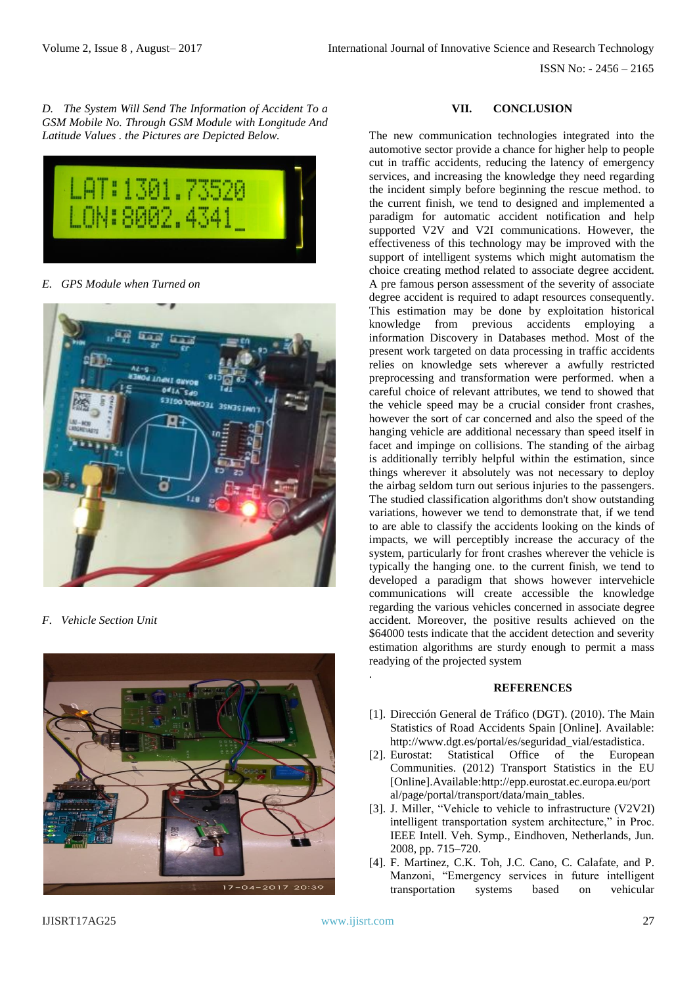ISSN No: - 2456 – 2165

*D. The System Will Send The Information of Accident To a GSM Mobile No. Through GSM Module with Longitude And Latitude Values . the Pictures are Depicted Below.*



*E. GPS Module when Turned on*



*F. Vehicle Section Unit*



#### **VII. CONCLUSION**

The new communication technologies integrated into the automotive sector provide a chance for higher help to people cut in traffic accidents, reducing the latency of emergency services, and increasing the knowledge they need regarding the incident simply before beginning the rescue method. to the current finish, we tend to designed and implemented a paradigm for automatic accident notification and help supported V2V and V2I communications. However, the effectiveness of this technology may be improved with the support of intelligent systems which might automatism the choice creating method related to associate degree accident. A pre famous person assessment of the severity of associate degree accident is required to adapt resources consequently. This estimation may be done by exploitation historical knowledge from previous accidents employing a information Discovery in Databases method. Most of the present work targeted on data processing in traffic accidents relies on knowledge sets wherever a awfully restricted preprocessing and transformation were performed. when a careful choice of relevant attributes, we tend to showed that the vehicle speed may be a crucial consider front crashes, however the sort of car concerned and also the speed of the hanging vehicle are additional necessary than speed itself in facet and impinge on collisions. The standing of the airbag is additionally terribly helpful within the estimation, since things wherever it absolutely was not necessary to deploy the airbag seldom turn out serious injuries to the passengers. The studied classification algorithms don't show outstanding variations, however we tend to demonstrate that, if we tend to are able to classify the accidents looking on the kinds of impacts, we will perceptibly increase the accuracy of the system, particularly for front crashes wherever the vehicle is typically the hanging one. to the current finish, we tend to developed a paradigm that shows however intervehicle communications will create accessible the knowledge regarding the various vehicles concerned in associate degree accident. Moreover, the positive results achieved on the \$64000 tests indicate that the accident detection and severity estimation algorithms are sturdy enough to permit a mass readying of the projected system

## **REFERENCES**

- [1]. Dirección General de Tráfico (DGT). (2010). The Main Statistics of Road Accidents Spain [Online]. Available: [http://www.dgt.es/portal/es/seguridad\\_vial/estadistica.](http://www.dgt.es/portal/es/seguridad_vial/estadistica)
- [2]. Eurostat: Statistical Office of the European Communities. (2012) Transport Statistics in the EU [Online].Available[:http://epp.eurostat.ec.europa.eu/port](http://epp.eurostat.ec.europa.eu/portal/page/portal/transport/data/main_tables) [al/page/portal/transport/data/main\\_tables.](http://epp.eurostat.ec.europa.eu/portal/page/portal/transport/data/main_tables)
- [3]. J. Miller, "Vehicle to vehicle to infrastructure (V2V2I) intelligent transportation system architecture," in Proc. IEEE Intell. Veh. Symp., Eindhoven, Netherlands, Jun. 2008, pp. 715–720.
- [4]. F. Martinez, C.K. Toh, J.C. Cano, C. Calafate, and P. Manzoni, "Emergency services in future intelligent transportation systems based on vehicular

.